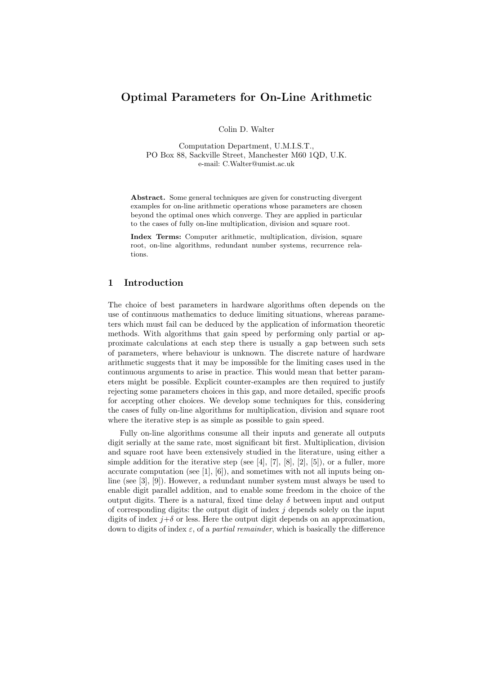# Optimal Parameters for On-Line Arithmetic

Colin D. Walter

Computation Department, U.M.I.S.T., PO Box 88, Sackville Street, Manchester M60 1QD, U.K. e-mail: C.Walter@umist.ac.uk

Abstract. Some general techniques are given for constructing divergent examples for on-line arithmetic operations whose parameters are chosen beyond the optimal ones which converge. They are applied in particular to the cases of fully on-line multiplication, division and square root.

Index Terms: Computer arithmetic, multiplication, division, square root, on-line algorithms, redundant number systems, recurrence relations.

# 1 Introduction

The choice of best parameters in hardware algorithms often depends on the use of continuous mathematics to deduce limiting situations, whereas parameters which must fail can be deduced by the application of information theoretic methods. With algorithms that gain speed by performing only partial or approximate calculations at each step there is usually a gap between such sets of parameters, where behaviour is unknown. The discrete nature of hardware arithmetic suggests that it may be impossible for the limiting cases used in the continuous arguments to arise in practice. This would mean that better parameters might be possible. Explicit counter-examples are then required to justify rejecting some parameters choices in this gap, and more detailed, specific proofs for accepting other choices. We develop some techniques for this, considering the cases of fully on-line algorithms for multiplication, division and square root where the iterative step is as simple as possible to gain speed.

Fully on-line algorithms consume all their inputs and generate all outputs digit serially at the same rate, most significant bit first. Multiplication, division and square root have been extensively studied in the literature, using either a simple addition for the iterative step (see  $[4]$ ,  $[7]$ ,  $[8]$ ,  $[2]$ ,  $[5]$ ), or a fuller, more accurate computation (see [1], [6]), and sometimes with not all inputs being online (see [3], [9]). However, a redundant number system must always be used to enable digit parallel addition, and to enable some freedom in the choice of the output digits. There is a natural, fixed time delay  $\delta$  between input and output of corresponding digits: the output digit of index  $j$  depends solely on the input digits of index  $j+\delta$  or less. Here the output digit depends on an approximation, down to digits of index  $\varepsilon$ , of a *partial remainder*, which is basically the difference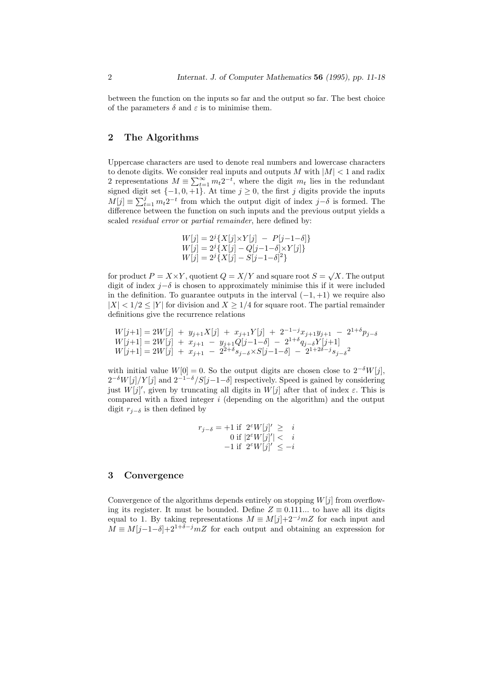between the function on the inputs so far and the output so far. The best choice of the parameters  $\delta$  and  $\varepsilon$  is to minimise them.

# 2 The Algorithms

Uppercase characters are used to denote real numbers and lowercase characters to denote digits. We consider real inputs and outputs  $M$  with  $|M| < 1$  and radix 2 representations  $M \equiv \sum_{t=1}^{\infty} m_t 2^{-t}$ , where the digit  $m_t$  lies in the redundant signed digit set  $\{-1, 0, +1\}$ . At time  $j \geq 0$ , the first j digits provide the inputs  $M[j] \equiv \sum_{t=1}^{j} m_t 2^{-t}$  from which the output digit of index  $j-\delta$  is formed. The difference between the function on such inputs and the previous output yields a scaled *residual error* or *partial remainder*, here defined by:

$$
W[j] = 2^{j} \{ X[j] \times Y[j] - P[j-1-\delta] \}
$$
  
\n
$$
W[j] = 2^{j} \{ X[j] - Q[j-1-\delta] \times Y[j] \}
$$
  
\n
$$
W[j] = 2^{j} \{ X[j] - S[j-1-\delta]^{2} \}
$$

for product  $P = X \times Y$ , quotient  $Q = X/Y$  and square root  $S = \sqrt{X}$ . The output digit of index  $j-\delta$  is chosen to approximately minimise this if it were included in the definition. To guarantee outputs in the interval  $(-1, +1)$  we require also  $|X| < 1/2 < |Y|$  for division and  $X \geq 1/4$  for square root. The partial remainder definitions give the recurrence relations

$$
W[j+1] = 2W[j] + y_{j+1}X[j] + x_{j+1}Y[j] + 2^{-1-j}x_{j+1}y_{j+1} - 2^{1+\delta}p_{j-\delta}
$$
  
\n
$$
W[j+1] = 2W[j] + x_{j+1} - y_{j+1}Q[j-1-\delta] - 2^{1+\delta}q_{j-\delta}Y[j+1]
$$
  
\n
$$
W[j+1] = 2W[j] + x_{j+1} - 2^{2+\delta}s_{j-\delta} \times S[j-1-\delta] - 2^{1+2\delta-j}s_{j-\delta}^2
$$

with initial value  $W[0] = 0$ . So the output digits are chosen close to  $2^{-\delta}W[j]$ ,  $2^{-\delta}W[j]/Y[j]$  and  $2^{-1-\delta}/S[j-1-\delta]$  respectively. Speed is gained by considering just  $W[j]'$ , given by truncating all digits in  $W[j]$  after that of index  $\varepsilon$ . This is compared with a fixed integer  $i$  (depending on the algorithm) and the output digit  $r_{j-\delta}$  is then defined by

$$
r_{j-\delta} = +1 \text{ if } 2^{\varepsilon} W[j]' \geq i
$$
  
0 if  $|2^{\varepsilon} W[j]' < i$   
-1 if  $2^{\varepsilon} W[j]' \leq -i$ 

#### 3 Convergence

Convergence of the algorithms depends entirely on stopping  $W[j]$  from overflowing its register. It must be bounded. Define  $Z \equiv 0.111...$  to have all its digits equal to 1. By taking representations  $M \equiv M[j]+2^{-j}mZ$  for each input and  $M \equiv M[j-1-\delta]+2^{1+\delta-j}mZ$  for each output and obtaining an expression for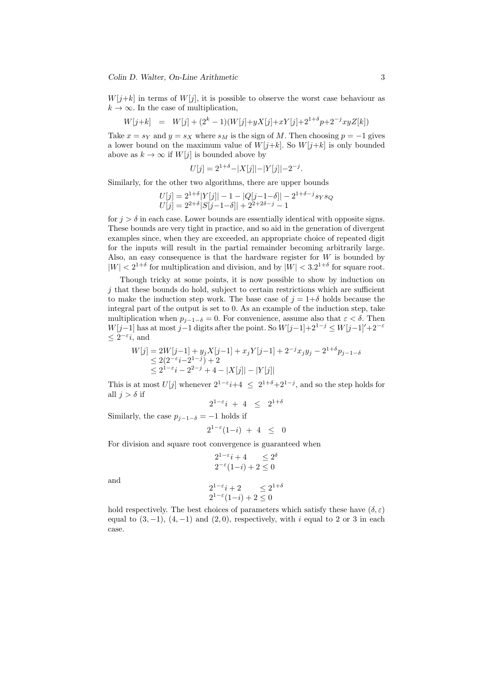Colin D. Walter, On-Line Arithmetic 3

 $W[j+k]$  in terms of  $W[j]$ , it is possible to observe the worst case behaviour as  $k \to \infty$ . In the case of multiplication,

$$
W[j+k] = W[j] + (2^k - 1)(W[j] + yX[j] + xY[j] + 2^{1+\delta}p + 2^{-j}xyZ[k])
$$

Take  $x = s_Y$  and  $y = s_X$  where  $s_M$  is the sign of M. Then choosing  $p = -1$  gives a lower bound on the maximum value of  $W[j+k]$ . So  $W[j+k]$  is only bounded above as  $k \to \infty$  if  $W[j]$  is bounded above by

$$
U[j] = 2^{1+\delta} - |X[j]| - |Y[j]| - 2^{-j}.
$$

Similarly, for the other two algorithms, there are upper bounds

$$
U[j] = 2^{1+\delta} |Y[j]| - 1 - |Q[j-1-\delta]| - 2^{1+\delta-j} s_Y s_Q
$$
  

$$
U[j] = 2^{2+\delta} |S[j-1-\delta]| + 2^{2+2\delta-j} - 1
$$

for  $j > \delta$  in each case. Lower bounds are essentially identical with opposite signs. These bounds are very tight in practice, and so aid in the generation of divergent examples since, when they are exceeded, an appropriate choice of repeated digit for the inputs will result in the partial remainder becoming arbitrarily large. Also, an easy consequence is that the hardware register for  $W$  is bounded by  $|W| < 2^{1+\delta}$  for multiplication and division, and by  $|W| < 3.2^{1+\delta}$  for square root.

Though tricky at some points, it is now possible to show by induction on  $j$  that these bounds do hold, subject to certain restrictions which are sufficient to make the induction step work. The base case of  $j = 1+\delta$  holds because the integral part of the output is set to 0. As an example of the induction step, take multiplication when  $p_{j-1-\delta} = 0$ . For convenience, assume also that  $\varepsilon < \delta$ . Then W[j−1] has at most j−1 digits after the point. So  $W[j-1]+2^{1-j} \leq W[j-1]+2^{-\varepsilon}$  $\leq 2^{-\varepsilon}$ *i*, and

$$
W[j] = 2W[j-1] + y_j X[j-1] + x_j Y[j-1] + 2^{-j} x_j y_j - 2^{1+\delta} p_{j-1-\delta}
$$
  
\n
$$
\leq 2(2^{-\varepsilon}i - 2^{1-j}) + 2
$$
  
\n
$$
\leq 2^{1-\varepsilon}i - 2^{2-j} + 4 - |X[j]| - |Y[j]|
$$

This is at most U[j] whenever  $2^{1-\epsilon}i+4 \leq 2^{1+\delta}+2^{1-j}$ , and so the step holds for all  $j > \delta$  if

$$
2^{1-\varepsilon}i + 4 \leq 2^{1+\delta}
$$

Similarly, the case  $p_{j-1-\delta} = -1$  holds if

$$
2^{1-\varepsilon}(1-i) + 4 \leq 0
$$

For division and square root convergence is guaranteed when

$$
2^{1-\varepsilon}i + 4 \le 2^{\delta}
$$
  

$$
2^{-\varepsilon}(1-i) + 2 \le 0
$$

and

$$
2^{1-\varepsilon}i + 2 \le 2^{1+\delta}
$$
  

$$
2^{1-\varepsilon}(1-i) + 2 \le 0
$$

hold respectively. The best choices of parameters which satisfy these have  $(\delta, \varepsilon)$ equal to  $(3, -1)$ ,  $(4, -1)$  and  $(2, 0)$ , respectively, with i equal to 2 or 3 in each case.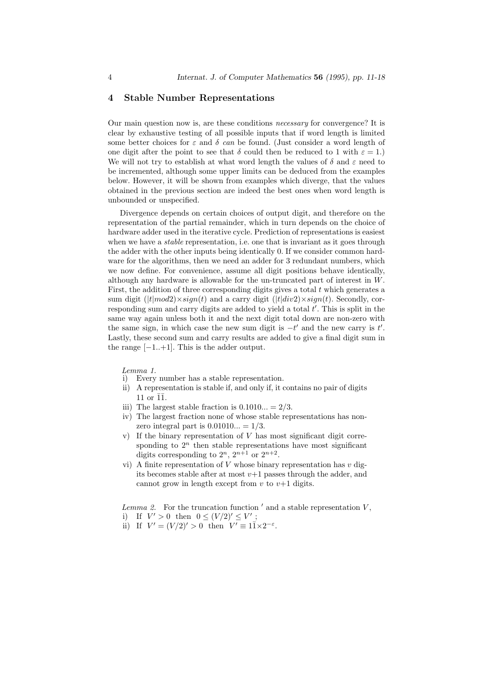#### 4 Stable Number Representations

Our main question now is, are these conditions necessary for convergence? It is clear by exhaustive testing of all possible inputs that if word length is limited some better choices for  $\varepsilon$  and  $\delta$  can be found. (Just consider a word length of one digit after the point to see that  $\delta$  could then be reduced to 1 with  $\varepsilon = 1$ .) We will not try to establish at what word length the values of  $\delta$  and  $\varepsilon$  need to be incremented, although some upper limits can be deduced from the examples below. However, it will be shown from examples which diverge, that the values obtained in the previous section are indeed the best ones when word length is unbounded or unspecified.

Divergence depends on certain choices of output digit, and therefore on the representation of the partial remainder, which in turn depends on the choice of hardware adder used in the iterative cycle. Prediction of representations is easiest when we have a *stable* representation, i.e. one that is invariant as it goes through the adder with the other inputs being identically 0. If we consider common hardware for the algorithms, then we need an adder for 3 redundant numbers, which we now define. For convenience, assume all digit positions behave identically, although any hardware is allowable for the un-truncated part of interest in W. First, the addition of three corresponding digits gives a total  $t$  which generates a sum digit  $(|t|mod2)\times sign(t)$  and a carry digit  $(|t|div2)\times sign(t)$ . Secondly, corresponding sum and carry digits are added to yield a total  $t'$ . This is split in the same way again unless both it and the next digit total down are non-zero with the same sign, in which case the new sum digit is  $-t'$  and the new carry is  $t'$ . Lastly, these second sum and carry results are added to give a final digit sum in the range  $[-1..+1]$ . This is the adder output.

Lemma 1.

- i) Every number has a stable representation.
- ii) A representation is stable if, and only if, it contains no pair of digits 11 or  $\overline{1}\overline{1}$ .
- iii) The largest stable fraction is  $0.1010... = 2/3$ .
- iv) The largest fraction none of whose stable representations has nonzero integral part is  $0.01010... = 1/3$ .
- v) If the binary representation of  $V$  has most significant digit corresponding to  $2^n$  then stable representations have most significant digits corresponding to  $2^n$ ,  $2^{n+1}$  or  $2^{n+2}$ .
- vi) A finite representation of  $V$  whose binary representation has  $v$  digits becomes stable after at most  $v+1$  passes through the adder, and cannot grow in length except from  $v$  to  $v+1$  digits.

Lemma 2. For the truncation function  $\prime$  and a stable representation  $V$ , i) If  $V' > 0$  then  $0 \le (V/2)' \le V'$ ;

ii) If  $V' = (V/2)' > 0$  then  $V' \equiv 1\overline{1} \times 2^{-\epsilon}$ .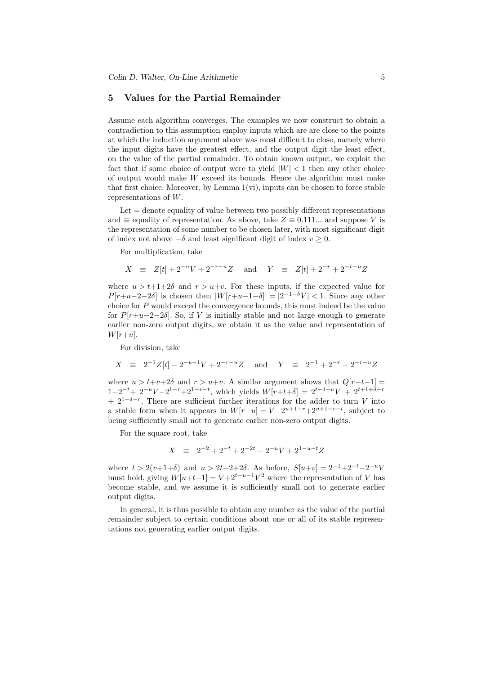#### 5 Values for the Partial Remainder

Assume each algorithm converges. The examples we now construct to obtain a contradiction to this assumption employ inputs which are are close to the points at which the induction argument above was most difficult to close, namely where the input digits have the greatest effect, and the output digit the least effect, on the value of the partial remainder. To obtain known output, we exploit the fact that if some choice of output were to yield  $|W| < 1$  then any other choice of output would make  $W$  exceed its bounds. Hence the algorithm must make that first choice. Moreover, by Lemma  $1(vi)$ , inputs can be chosen to force stable representations of W.

 $\text{Let} = \text{denote equality of value between two possibly different representations}$ and  $\equiv$  equality of representation. As above, take  $Z \equiv 0.111...$  and suppose V is the representation of some number to be chosen later, with most significant digit of index not above  $-\delta$  and least significant digit of index  $v \geq 0$ .

For multiplication, take

 $X \equiv Z[t] + 2^{-u}V + 2^{-r-u}Z$  and  $Y \equiv Z[t] + 2^{-r} + 2^{-r-u}Z$ 

where  $u > t+1+2\delta$  and  $r > u+v$ . For these inputs, if the expected value for  $P[r+u-2-2\delta]$  is chosen then  $|W[r+u-1-\delta]| = |2^{-1-\delta}V| < 1$ . Since any other choice for  $P$  would exceed the convergence bounds, this must indeed be the value for  $P[r+u-2-2\delta]$ . So, if V is initially stable and not large enough to generate earlier non-zero output digits, we obtain it as the value and representation of  $W[r+u]$ .

For division, take

$$
X = 2^{-1}Z[t] - 2^{-u-1}V + 2^{-r-u}Z \text{ and } Y = 2^{-1} + 2^{-r} - 2^{-r-u}Z
$$

where  $u > t+v+2\delta$  and  $r > u+v$ . A similar argument shows that  $Q[r+t-1] =$  $1-2^{-t}+2^{-u}V-2^{1-r}+2^{1-r-t}$ , which yields  $W[r+t+\delta] = 2^{t+\delta-u}V + 2^{t+1+\delta-r}$  $+ 2^{1+\delta-r}$ . There are sufficient further iterations for the adder to turn V into a stable form when it appears in  $W[r+u] = V + 2^{u+1-r} + 2^{u+1-r-t}$ , subject to being sufficiently small not to generate earlier non-zero output digits.

For the square root, take

$$
X \equiv 2^{-2} + 2^{-t} + 2^{-2t} - 2^{-u}V + 2^{1-u-t}Z
$$

where  $t > 2(v+1+\delta)$  and  $u > 2t+2+2\delta$ . As before,  $S[u+v] = 2^{-1}+2^{-t}-2^{-u}V$ must hold, giving  $W[u+t-1] = V + 2^{t-u-1}V^2$  where the representation of V has become stable, and we assume it is sufficiently small not to generate earlier output digits.

In general, it is thus possible to obtain any number as the value of the partial remainder subject to certain conditions about one or all of its stable representations not generating earlier output digits.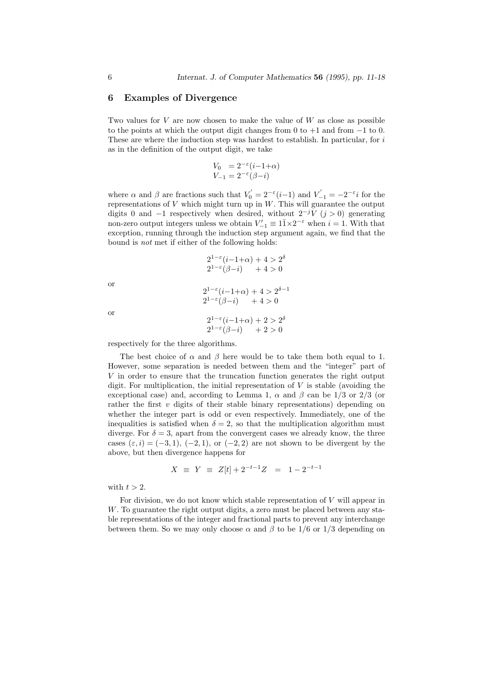#### 6 Examples of Divergence

Two values for V are now chosen to make the value of  $W$  as close as possible to the points at which the output digit changes from 0 to  $+1$  and from  $-1$  to 0. These are where the induction step was hardest to establish. In particular, for  $i$ as in the definition of the output digit, we take

$$
V_0 = 2^{-\varepsilon} (i - 1 + \alpha)
$$
  

$$
V_{-1} = 2^{-\varepsilon} (\beta - i)
$$

where  $\alpha$  and  $\beta$  are fractions such that  $V_0' = 2^{-\varepsilon} (i-1)$  and  $V_{-1}' = -2^{-\varepsilon} i$  for the representations of  $V$  which might turn up in  $W$ . This will guarantee the output digits 0 and  $-1$  respectively when desired, without  $2^{-j}V(j>0)$  generating non-zero output integers unless we obtain  $V'_{-1} \equiv 1\bar{1} \times 2^{-\varepsilon}$  when  $i = 1$ . With that exception, running through the induction step argument again, we find that the bound is not met if either of the following holds:

$$
2^{1-\varepsilon}(i-1+\alpha) + 4 > 2^{\delta}
$$
  
\n
$$
2^{1-\varepsilon}(\beta - i) + 4 > 0
$$
  
\n
$$
2^{1-\varepsilon}(i-1+\alpha) + 4 > 2^{\delta-1}
$$
  
\n
$$
2^{1-\varepsilon}(\beta - i) + 4 > 0
$$
  
\n
$$
2^{1-\varepsilon}(i-1+\alpha) + 2 > 2^{\delta}
$$
  
\n
$$
2^{1-\varepsilon}(\beta - i) + 2 > 0
$$

respectively for the three algorithms.

The best choice of  $\alpha$  and  $\beta$  here would be to take them both equal to 1. However, some separation is needed between them and the "integer" part of V in order to ensure that the truncation function generates the right output digit. For multiplication, the initial representation of  $V$  is stable (avoiding the exceptional case) and, according to Lemma 1,  $\alpha$  and  $\beta$  can be 1/3 or 2/3 (or rather the first  $v$  digits of their stable binary representations) depending on whether the integer part is odd or even respectively. Immediately, one of the inequalities is satisfied when  $\delta = 2$ , so that the multiplication algorithm must diverge. For  $\delta = 3$ , apart from the convergent cases we already know, the three cases  $(\varepsilon, i) = (-3, 1), (-2, 1),$  or  $(-2, 2)$  are not shown to be divergent by the above, but then divergence happens for

$$
X \equiv Y \equiv Z[t] + 2^{-t-1}Z = 1 - 2^{-t-1}
$$

with  $t > 2$ .

For division, we do not know which stable representation of  $V$  will appear in W. To guarantee the right output digits, a zero must be placed between any stable representations of the integer and fractional parts to prevent any interchange between them. So we may only choose  $\alpha$  and  $\beta$  to be 1/6 or 1/3 depending on

or

or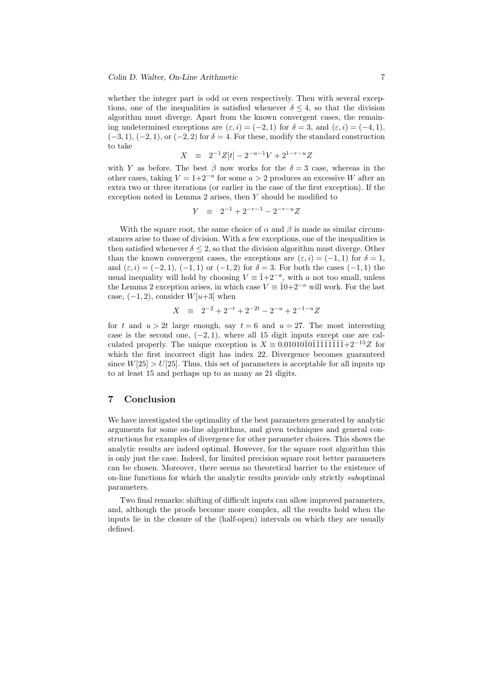whether the integer part is odd or even respectively. Then with several exceptions, one of the inequalities is satisfied whenever  $\delta \leq 4$ , so that the division algorithm must diverge. Apart from the known convergent cases, the remaining undetermined exceptions are  $(\varepsilon, i) = (-2, 1)$  for  $\delta = 3$ , and  $(\varepsilon, i) = (-4, 1)$ ,  $(-3, 1), (-2, 1),$  or  $(-2, 2)$  for  $\delta = 4$ . For these, modify the standard construction to take

$$
X \equiv 2^{-1}Z[t] - 2^{-u-1}V + 2^{1-r-u}Z
$$

with Y as before. The best  $\beta$  now works for the  $\delta = 3$  case, whereas in the other cases, taking  $V = 1+2^{-a}$  for some  $a > 2$  produces an excessive W after an extra two or three iterations (or earlier in the case of the first exception). If the exception noted in Lemma 2 arises, then Y should be modified to

$$
Y \equiv 2^{-1} + 2^{-r-1} - 2^{-r-u}Z
$$

With the square root, the same choice of  $\alpha$  and  $\beta$  is made as similar circumstances arise to those of division. With a few exceptions, one of the inequalities is then satisfied whenever  $\delta \leq 2$ , so that the division algorithm must diverge. Other than the known convergent cases, the exceptions are  $(\varepsilon, i) = (-1, 1)$  for  $\delta = 1$ , and  $(\varepsilon, i) = (-2, 1), (-1, 1)$  or  $(-1, 2)$  for  $\delta = 3$ . For both the cases  $(-1, 1)$  the usual inequality will hold by choosing  $V = \overline{1} + 2^{-a}$ , with a not too small, unless the Lemma 2 exception arises, in which case  $V \equiv \overline{10+2^{-a}}$  will work. For the last case,  $(-1, 2)$ , consider  $W[u+3]$  when

$$
X \equiv 2^{-2} + 2^{-t} + 2^{-2t} - 2^{-u} + 2^{-1-u}Z
$$

for t and  $u > 2t$  large enough, say  $t = 6$  and  $u = 27$ . The most interesting case is the second one,  $(-2, 1)$ , where all 15 digit inputs except one are calculated properly. The unique exception is  $X \equiv 0.01010\overline{10}1\overline{11}1\overline{11}1\overline{1}1+2^{-15}Z$  for which the first incorrect digit has index 22. Divergence becomes guaranteed since  $W[25] > U[25]$ . Thus, this set of parameters is acceptable for all inputs up to at least 15 and perhaps up to as many as 21 digits.

# 7 Conclusion

We have investigated the optimality of the best parameters generated by analytic arguments for some on-line algorithms, and given techniques and general constructions for examples of divergence for other parameter choices. This shows the analytic results are indeed optimal. However, for the square root algorithm this is only just the case. Indeed, for limited precision square root better parameters can be chosen. Moreover, there seems no theoretical barrier to the existence of on-line functions for which the analytic results provide only strictly suboptimal parameters.

Two final remarks: shifting of difficult inputs can allow improved parameters, and, although the proofs become more complex, all the results hold when the inputs lie in the closure of the (half-open) intervals on which they are usually defined.